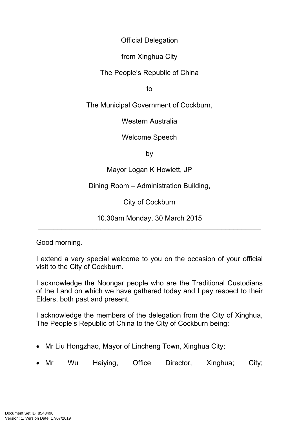Official Delegation

from Xinghua City

The People's Republic of China

to

The Municipal Government of Cockburn,

Western Australia

Welcome Speech

by

Mayor Logan K Howlett, JP

Dining Room – Administration Building,

City of Cockburn

10.30am Monday, 30 March 2015 \_\_\_\_\_\_\_\_\_\_\_\_\_\_\_\_\_\_\_\_\_\_\_\_\_\_\_\_\_\_\_\_\_\_\_\_\_\_\_\_\_\_\_\_\_\_\_\_\_\_\_\_\_\_\_\_\_

Good morning.

I extend a very special welcome to you on the occasion of your official visit to the City of Cockburn.

I acknowledge the Noongar people who are the Traditional Custodians of the Land on which we have gathered today and I pay respect to their Elders, both past and present.

I acknowledge the members of the delegation from the City of Xinghua, The People's Republic of China to the City of Cockburn being:

- Mr Liu Hongzhao, Mayor of Lincheng Town, Xinghua City;
- Mr Wu Haiying, Office Director, Xinghua; City;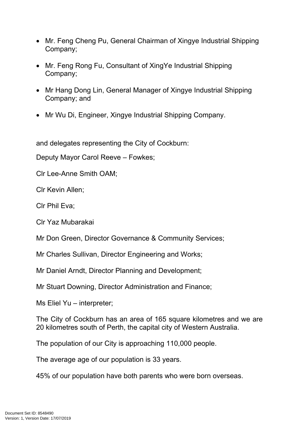- Mr. Feng Cheng Pu, General Chairman of Xingye Industrial Shipping Company;
- Mr. Feng Rong Fu, Consultant of XingYe Industrial Shipping Company;
- Mr Hang Dong Lin, General Manager of Xingye Industrial Shipping Company; and
- Mr Wu Di, Engineer, Xingye Industrial Shipping Company.

and delegates representing the City of Cockburn:

Deputy Mayor Carol Reeve – Fowkes;

Clr Lee-Anne Smith OAM;

Clr Kevin Allen;

Clr Phil Eva;

Clr Yaz Mubarakai

Mr Don Green, Director Governance & Community Services;

Mr Charles Sullivan, Director Engineering and Works;

Mr Daniel Arndt, Director Planning and Development;

Mr Stuart Downing, Director Administration and Finance;

Ms Eliel Yu – interpreter;

The City of Cockburn has an area of 165 square kilometres and we are 20 kilometres south of Perth, the capital city of Western Australia.

The population of our City is approaching 110,000 people.

The average age of our population is 33 years.

45% of our population have both parents who were born overseas.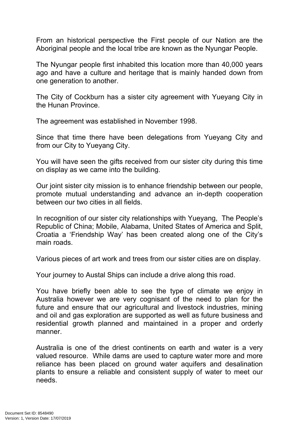From an historical perspective the First people of our Nation are the Aboriginal people and the local tribe are known as the Nyungar People.

The Nyungar people first inhabited this location more than 40,000 years ago and have a culture and heritage that is mainly handed down from one generation to another.

The City of Cockburn has a sister city agreement with Yueyang City in the Hunan Province.

The agreement was established in November 1998.

Since that time there have been delegations from Yueyang City and from our City to Yueyang City.

You will have seen the gifts received from our sister city during this time on display as we came into the building.

Our joint sister city mission is to enhance friendship between our people, promote mutual understanding and advance an in-depth cooperation between our two cities in all fields.

In recognition of our sister city relationships with Yueyang, The People's Republic of China; Mobile, Alabama, United States of America and Split, Croatia a 'Friendship Way' has been created along one of the City's main roads.

Various pieces of art work and trees from our sister cities are on display.

Your journey to Austal Ships can include a drive along this road.

You have briefly been able to see the type of climate we enjoy in Australia however we are very cognisant of the need to plan for the future and ensure that our agricultural and livestock industries, mining and oil and gas exploration are supported as well as future business and residential growth planned and maintained in a proper and orderly manner.

Australia is one of the driest continents on earth and water is a very valued resource. While dams are used to capture water more and more reliance has been placed on ground water aquifers and desalination plants to ensure a reliable and consistent supply of water to meet our needs.